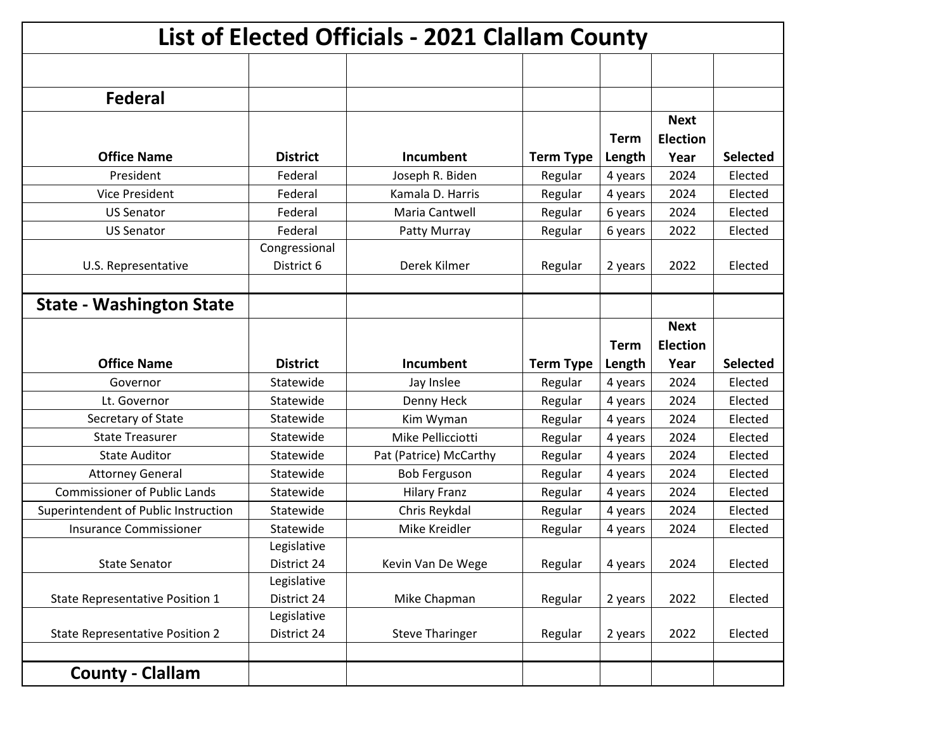| List of Elected Officials - 2021 Clallam County |                 |                        |                  |             |                 |                 |  |
|-------------------------------------------------|-----------------|------------------------|------------------|-------------|-----------------|-----------------|--|
|                                                 |                 |                        |                  |             |                 |                 |  |
| <b>Federal</b>                                  |                 |                        |                  |             |                 |                 |  |
|                                                 |                 |                        |                  |             | <b>Next</b>     |                 |  |
|                                                 |                 |                        |                  | <b>Term</b> | <b>Election</b> |                 |  |
| <b>Office Name</b>                              | <b>District</b> | Incumbent              | <b>Term Type</b> | Length      | Year            | <b>Selected</b> |  |
| President                                       | Federal         | Joseph R. Biden        | Regular          | 4 years     | 2024            | Elected         |  |
| <b>Vice President</b>                           | Federal         | Kamala D. Harris       | Regular          | 4 years     | 2024            | Elected         |  |
| <b>US Senator</b>                               | Federal         | Maria Cantwell         | Regular          | 6 years     | 2024            | Elected         |  |
| <b>US Senator</b>                               | Federal         | Patty Murray           | Regular          | 6 years     | 2022            | Elected         |  |
|                                                 | Congressional   |                        |                  |             |                 |                 |  |
| U.S. Representative                             | District 6      | Derek Kilmer           | Regular          | 2 years     | 2022            | Elected         |  |
|                                                 |                 |                        |                  |             |                 |                 |  |
| <b>State - Washington State</b>                 |                 |                        |                  |             |                 |                 |  |
|                                                 |                 |                        |                  |             | <b>Next</b>     |                 |  |
|                                                 |                 |                        |                  | <b>Term</b> | <b>Election</b> |                 |  |
|                                                 |                 |                        |                  |             |                 |                 |  |
| <b>Office Name</b>                              | <b>District</b> | Incumbent              | <b>Term Type</b> | Length      | Year            | <b>Selected</b> |  |
| Governor                                        | Statewide       | Jay Inslee             | Regular          | 4 years     | 2024            | Elected         |  |
| Lt. Governor                                    | Statewide       | Denny Heck             | Regular          | 4 years     | 2024            | Elected         |  |
| Secretary of State                              | Statewide       | Kim Wyman              | Regular          | 4 years     | 2024            | Elected         |  |
| <b>State Treasurer</b>                          | Statewide       | Mike Pellicciotti      | Regular          | 4 years     | 2024            | Elected         |  |
| <b>State Auditor</b>                            | Statewide       | Pat (Patrice) McCarthy | Regular          | 4 years     | 2024            | Elected         |  |
| <b>Attorney General</b>                         | Statewide       | <b>Bob Ferguson</b>    | Regular          | 4 years     | 2024            | Elected         |  |
| <b>Commissioner of Public Lands</b>             | Statewide       | <b>Hilary Franz</b>    | Regular          | 4 years     | 2024            | Elected         |  |
| Superintendent of Public Instruction            | Statewide       | Chris Reykdal          | Regular          | 4 years     | 2024            | Elected         |  |
| <b>Insurance Commissioner</b>                   | Statewide       | Mike Kreidler          | Regular          | 4 years     | 2024            | Elected         |  |
|                                                 | Legislative     |                        |                  |             |                 |                 |  |
| <b>State Senator</b>                            | District 24     | Kevin Van De Wege      | Regular          | 4 years     | 2024            | Elected         |  |
|                                                 | Legislative     |                        |                  |             |                 |                 |  |
| State Representative Position 1                 | District 24     | Mike Chapman           | Regular          | 2 years     | 2022            | Elected         |  |
|                                                 | Legislative     |                        |                  |             |                 |                 |  |
| <b>State Representative Position 2</b>          | District 24     | <b>Steve Tharinger</b> | Regular          | 2 years     | 2022            | Elected         |  |
|                                                 |                 |                        |                  |             |                 |                 |  |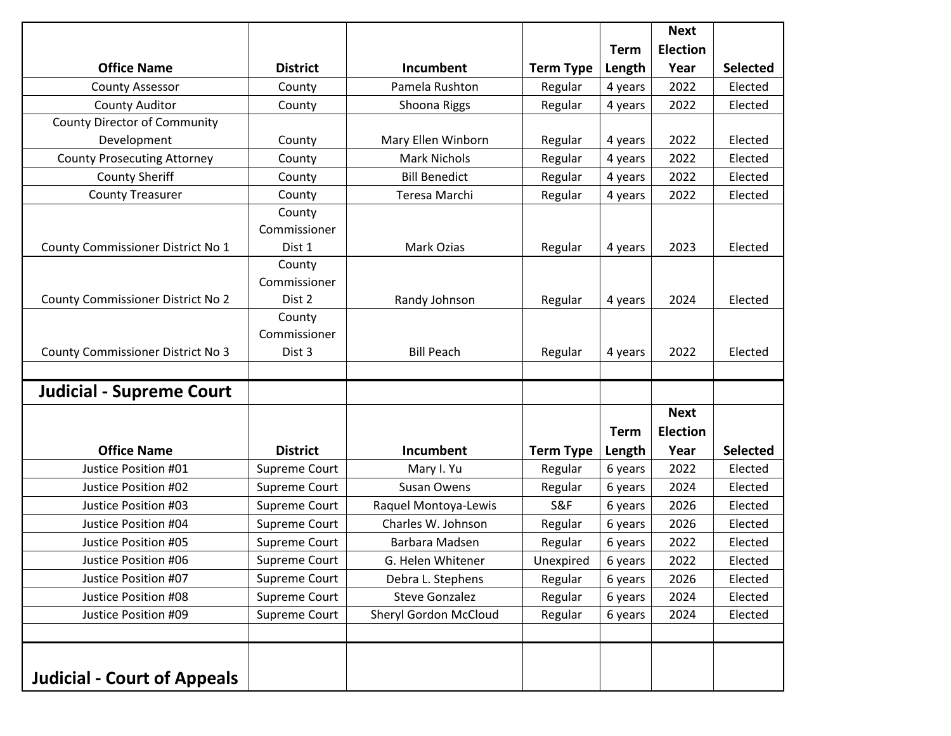|                                          |                                  |                       |                  |             | <b>Next</b>     |                 |
|------------------------------------------|----------------------------------|-----------------------|------------------|-------------|-----------------|-----------------|
|                                          |                                  |                       |                  | <b>Term</b> | <b>Election</b> |                 |
| <b>Office Name</b>                       | <b>District</b>                  | Incumbent             | <b>Term Type</b> | Length      | Year            | <b>Selected</b> |
| <b>County Assessor</b>                   | County                           | Pamela Rushton        | Regular          | 4 years     | 2022            | Elected         |
| <b>County Auditor</b>                    | County                           | Shoona Riggs          | Regular          | 4 years     | 2022            | Elected         |
| <b>County Director of Community</b>      |                                  |                       |                  |             |                 |                 |
| Development                              | County                           | Mary Ellen Winborn    | Regular          | 4 years     | 2022            | Elected         |
| <b>County Prosecuting Attorney</b>       | County                           | <b>Mark Nichols</b>   | Regular          | 4 years     | 2022            | Elected         |
| <b>County Sheriff</b>                    | County                           | <b>Bill Benedict</b>  | Regular          | 4 years     | 2022            | Elected         |
| <b>County Treasurer</b>                  | County                           | Teresa Marchi         | Regular          | 4 years     | 2022            | Elected         |
| County Commissioner District No 1        | County<br>Commissioner<br>Dist 1 | Mark Ozias            | Regular          | 4 years     | 2023            | Elected         |
| <b>County Commissioner District No 2</b> | County<br>Commissioner<br>Dist 2 | Randy Johnson         | Regular          | 4 years     | 2024            | Elected         |
| <b>County Commissioner District No 3</b> | County<br>Commissioner<br>Dist 3 | <b>Bill Peach</b>     | Regular          | 4 years     | 2022            | Elected         |
| <b>Judicial - Supreme Court</b>          |                                  |                       |                  |             |                 |                 |
|                                          |                                  |                       |                  |             | <b>Next</b>     |                 |
|                                          |                                  |                       |                  | <b>Term</b> | <b>Election</b> |                 |
| <b>Office Name</b>                       | <b>District</b>                  | Incumbent             | <b>Term Type</b> | Length      | Year            | <b>Selected</b> |
| Justice Position #01                     | Supreme Court                    | Mary I. Yu            | Regular          | 6 years     | 2022            | Elected         |
| Justice Position #02                     | Supreme Court                    | Susan Owens           | Regular          | 6 years     | 2024            | Elected         |
| Justice Position #03                     | Supreme Court                    | Raquel Montoya-Lewis  | <b>S&amp;F</b>   | 6 years     | 2026            | Elected         |
| Justice Position #04                     | Supreme Court                    | Charles W. Johnson    | Regular          | 6 years     | 2026            | Elected         |
| Justice Position #05                     | Supreme Court                    | Barbara Madsen        | Regular          | 6 years     | 2022            | Elected         |
| Justice Position #06                     | Supreme Court                    | G. Helen Whitener     | Unexpired        | 6 years     | 2022            | Elected         |
| Justice Position #07                     | Supreme Court                    | Debra L. Stephens     | Regular          | 6 years     | 2026            | Elected         |
| Justice Position #08                     | Supreme Court                    | <b>Steve Gonzalez</b> | Regular          | 6 years     | 2024            | Elected         |
| Justice Position #09                     | Supreme Court                    | Sheryl Gordon McCloud | Regular          | 6 years     | 2024            | Elected         |
| <b>Judicial - Court of Appeals</b>       |                                  |                       |                  |             |                 |                 |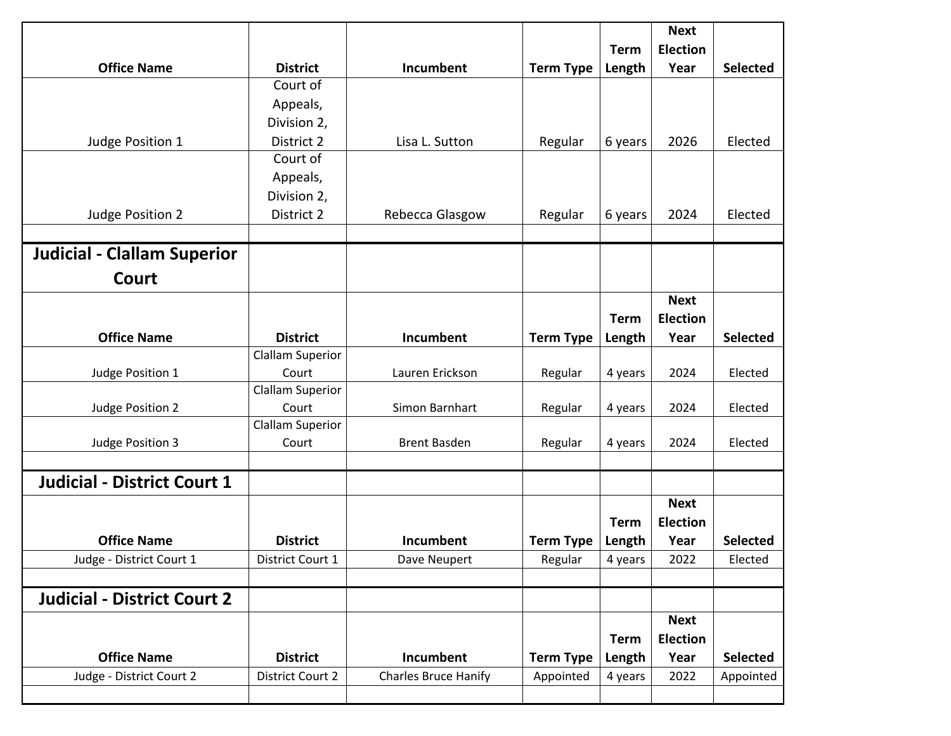|                                    |                         |                             |                  |             | <b>Next</b>     |                 |
|------------------------------------|-------------------------|-----------------------------|------------------|-------------|-----------------|-----------------|
|                                    |                         |                             |                  | <b>Term</b> | <b>Election</b> |                 |
| <b>Office Name</b>                 | <b>District</b>         | Incumbent                   | <b>Term Type</b> | Length      | Year            | <b>Selected</b> |
|                                    | Court of                |                             |                  |             |                 |                 |
|                                    | Appeals,                |                             |                  |             |                 |                 |
|                                    | Division 2,             |                             |                  |             |                 |                 |
| Judge Position 1                   | District 2              | Lisa L. Sutton              | Regular          | 6 years     | 2026            | Elected         |
|                                    | Court of                |                             |                  |             |                 |                 |
|                                    | Appeals,                |                             |                  |             |                 |                 |
|                                    | Division 2,             |                             |                  |             |                 |                 |
| Judge Position 2                   | District 2              | Rebecca Glasgow             | Regular          | 6 years     | 2024            | Elected         |
|                                    |                         |                             |                  |             |                 |                 |
| <b>Judicial - Clallam Superior</b> |                         |                             |                  |             |                 |                 |
| <b>Court</b>                       |                         |                             |                  |             |                 |                 |
|                                    |                         |                             |                  |             | <b>Next</b>     |                 |
|                                    |                         |                             |                  | <b>Term</b> | <b>Election</b> |                 |
| <b>Office Name</b>                 | <b>District</b>         | Incumbent                   | <b>Term Type</b> | Length      | Year            | <b>Selected</b> |
|                                    | <b>Clallam Superior</b> |                             |                  |             |                 |                 |
| Judge Position 1                   | Court                   | Lauren Erickson             | Regular          | 4 years     | 2024            | Elected         |
|                                    | <b>Clallam Superior</b> |                             |                  |             |                 |                 |
| Judge Position 2                   | Court                   | Simon Barnhart              | Regular          | 4 years     | 2024            | Elected         |
|                                    | <b>Clallam Superior</b> |                             |                  |             |                 |                 |
| Judge Position 3                   | Court                   | <b>Brent Basden</b>         | Regular          | 4 years     | 2024            | Elected         |
|                                    |                         |                             |                  |             |                 |                 |
| <b>Judicial - District Court 1</b> |                         |                             |                  |             |                 |                 |
|                                    |                         |                             |                  |             | <b>Next</b>     |                 |
|                                    |                         |                             |                  | <b>Term</b> | <b>Election</b> |                 |
| <b>Office Name</b>                 | <b>District</b>         | <b>Incumbent</b>            | <b>Term Type</b> | Length      | Year            | <b>Selected</b> |
| Judge - District Court 1           | District Court 1        | Dave Neupert                | Regular          | 4 years     | 2022            | Elected         |
|                                    |                         |                             |                  |             |                 |                 |
| <b>Judicial - District Court 2</b> |                         |                             |                  |             |                 |                 |
|                                    |                         |                             |                  |             | <b>Next</b>     |                 |
|                                    |                         |                             |                  | <b>Term</b> | <b>Election</b> |                 |
| <b>Office Name</b>                 | <b>District</b>         | Incumbent                   | <b>Term Type</b> | Length      | Year            | <b>Selected</b> |
| Judge - District Court 2           | <b>District Court 2</b> | <b>Charles Bruce Hanify</b> | Appointed        | 4 years     | 2022            | Appointed       |
|                                    |                         |                             |                  |             |                 |                 |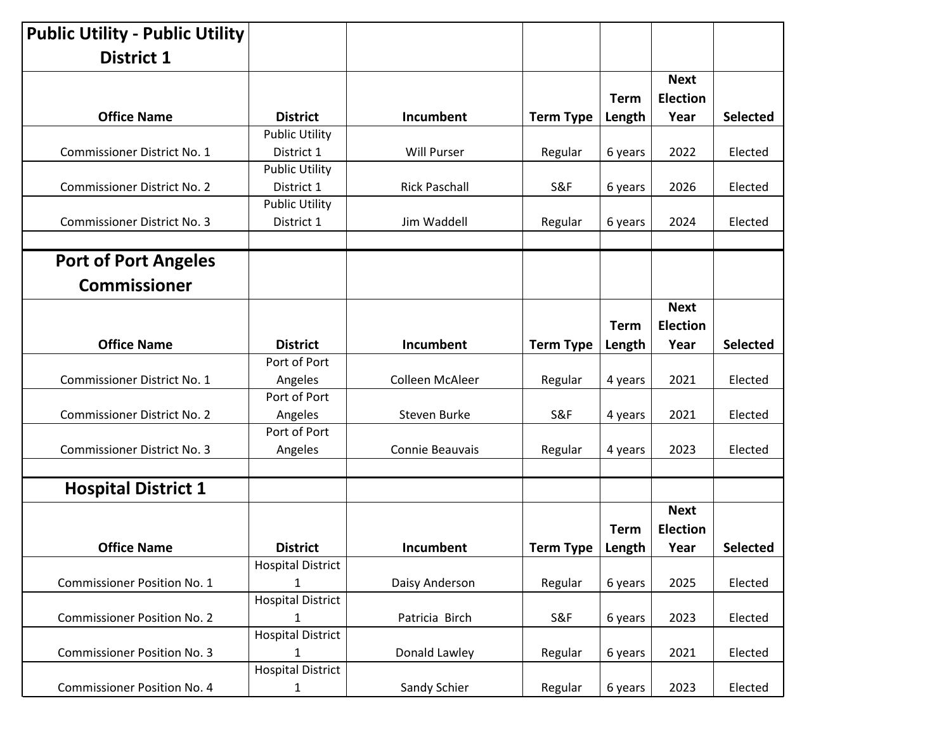| <b>Public Utility - Public Utility</b> |                          |                      |                  |             |                 |                 |
|----------------------------------------|--------------------------|----------------------|------------------|-------------|-----------------|-----------------|
| <b>District 1</b>                      |                          |                      |                  |             |                 |                 |
|                                        |                          |                      |                  |             | <b>Next</b>     |                 |
|                                        |                          |                      |                  | Term        | <b>Election</b> |                 |
| <b>Office Name</b>                     | <b>District</b>          | Incumbent            | <b>Term Type</b> | Length      | Year            | <b>Selected</b> |
|                                        | <b>Public Utility</b>    |                      |                  |             |                 |                 |
| Commissioner District No. 1            | District 1               | <b>Will Purser</b>   | Regular          | 6 years     | 2022            | Elected         |
|                                        | <b>Public Utility</b>    |                      |                  |             |                 |                 |
| <b>Commissioner District No. 2</b>     | District 1               | <b>Rick Paschall</b> | S&F              | 6 years     | 2026            | Elected         |
|                                        | <b>Public Utility</b>    |                      |                  |             |                 |                 |
| <b>Commissioner District No. 3</b>     | District 1               | Jim Waddell          | Regular          | 6 years     | 2024            | Elected         |
|                                        |                          |                      |                  |             |                 |                 |
| <b>Port of Port Angeles</b>            |                          |                      |                  |             |                 |                 |
| <b>Commissioner</b>                    |                          |                      |                  |             |                 |                 |
|                                        |                          |                      |                  |             | <b>Next</b>     |                 |
|                                        |                          |                      |                  | <b>Term</b> | <b>Election</b> |                 |
| <b>Office Name</b>                     | <b>District</b>          | Incumbent            | <b>Term Type</b> | Length      | Year            | <b>Selected</b> |
|                                        | Port of Port             |                      |                  |             |                 |                 |
| Commissioner District No. 1            | Angeles                  | Colleen McAleer      | Regular          | 4 years     | 2021            | Elected         |
|                                        | Port of Port             |                      |                  |             |                 |                 |
| <b>Commissioner District No. 2</b>     | Angeles                  | Steven Burke         | <b>S&amp;F</b>   | 4 years     | 2021            | Elected         |
|                                        | Port of Port             |                      |                  |             |                 |                 |
| <b>Commissioner District No. 3</b>     | Angeles                  | Connie Beauvais      | Regular          | 4 years     | 2023            | Elected         |
| <b>Hospital District 1</b>             |                          |                      |                  |             |                 |                 |
|                                        |                          |                      |                  |             | <b>Next</b>     |                 |
|                                        |                          |                      |                  | <b>Term</b> | <b>Election</b> |                 |
| <b>Office Name</b>                     | <b>District</b>          | Incumbent            | Term Type        | Length      | Year            | Selected        |
|                                        | <b>Hospital District</b> |                      |                  |             |                 |                 |
| <b>Commissioner Position No. 1</b>     | $\mathbf{1}$             | Daisy Anderson       | Regular          | 6 years     | 2025            | Elected         |
|                                        | <b>Hospital District</b> |                      |                  |             |                 |                 |
| <b>Commissioner Position No. 2</b>     | $\mathbf{1}$             | Patricia Birch       | S&F              | 6 years     | 2023            | Elected         |
|                                        | <b>Hospital District</b> |                      |                  |             |                 |                 |
| <b>Commissioner Position No. 3</b>     | $\mathbf{1}$             | Donald Lawley        | Regular          | 6 years     | 2021            | Elected         |
|                                        | <b>Hospital District</b> |                      |                  |             |                 |                 |
| <b>Commissioner Position No. 4</b>     | $\mathbf{1}$             | Sandy Schier         | Regular          | 6 years     | 2023            | Elected         |
|                                        |                          |                      |                  |             |                 |                 |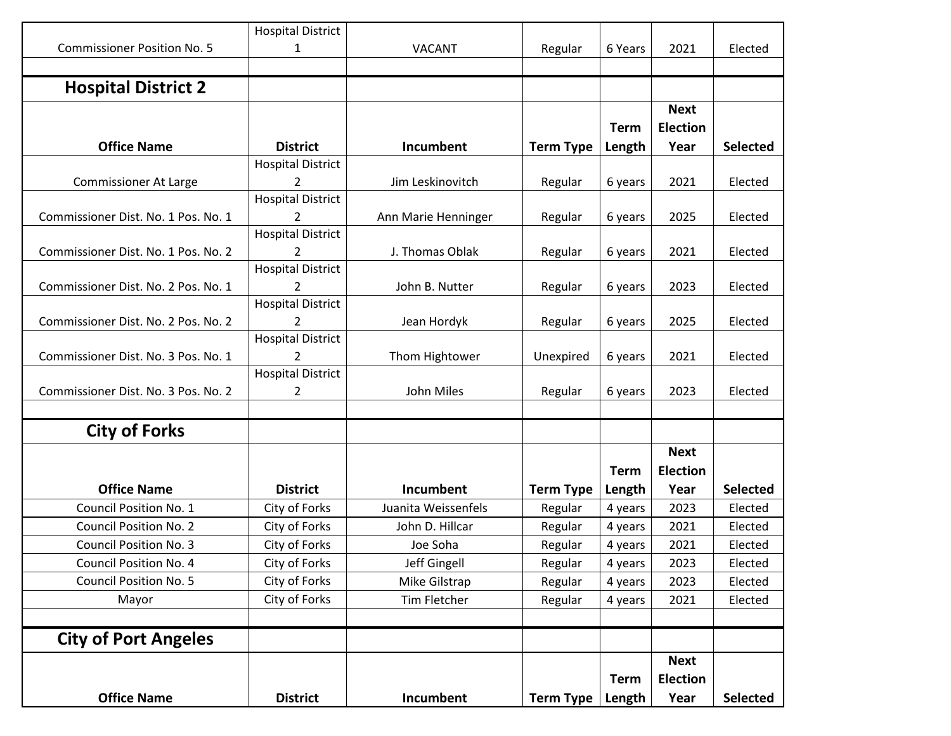|                                     | <b>Hospital District</b>      |                     |                  |             |                                |                 |
|-------------------------------------|-------------------------------|---------------------|------------------|-------------|--------------------------------|-----------------|
| <b>Commissioner Position No. 5</b>  | 1                             | <b>VACANT</b>       | Regular          | 6 Years     | 2021                           | Elected         |
|                                     |                               |                     |                  |             |                                |                 |
| <b>Hospital District 2</b>          |                               |                     |                  |             |                                |                 |
|                                     |                               |                     |                  | <b>Term</b> | <b>Next</b><br><b>Election</b> |                 |
| <b>Office Name</b>                  | <b>District</b>               | Incumbent           | <b>Term Type</b> | Length      | Year                           | <b>Selected</b> |
|                                     | <b>Hospital District</b>      |                     |                  |             |                                |                 |
| <b>Commissioner At Large</b>        | 2                             | Jim Leskinovitch    | Regular          | 6 years     | 2021                           | Elected         |
|                                     | <b>Hospital District</b>      |                     |                  |             |                                |                 |
| Commissioner Dist. No. 1 Pos. No. 1 | 2                             | Ann Marie Henninger | Regular          | 6 years     | 2025                           | Elected         |
|                                     | <b>Hospital District</b>      |                     |                  |             |                                |                 |
| Commissioner Dist. No. 1 Pos. No. 2 | 2<br><b>Hospital District</b> | J. Thomas Oblak     | Regular          | 6 years     | 2021                           | Elected         |
| Commissioner Dist. No. 2 Pos. No. 1 | 2                             | John B. Nutter      | Regular          | 6 years     | 2023                           | Elected         |
|                                     | <b>Hospital District</b>      |                     |                  |             |                                |                 |
| Commissioner Dist. No. 2 Pos. No. 2 | $\mathcal{P}$                 | Jean Hordyk         | Regular          | 6 years     | 2025                           | Elected         |
|                                     | <b>Hospital District</b>      |                     |                  |             |                                |                 |
| Commissioner Dist. No. 3 Pos. No. 1 | 2                             | Thom Hightower      | Unexpired        | 6 years     | 2021                           | Elected         |
|                                     | <b>Hospital District</b>      |                     |                  |             |                                |                 |
| Commissioner Dist. No. 3 Pos. No. 2 | 2                             | John Miles          | Regular          | 6 years     | 2023                           | Elected         |
|                                     |                               |                     |                  |             |                                |                 |
| <b>City of Forks</b>                |                               |                     |                  |             |                                |                 |
|                                     |                               |                     |                  |             | <b>Next</b>                    |                 |
|                                     |                               |                     |                  | <b>Term</b> | <b>Election</b>                |                 |
| <b>Office Name</b>                  | <b>District</b>               | Incumbent           | <b>Term Type</b> | Length      | Year                           | <b>Selected</b> |
| Council Position No. 1              | City of Forks                 | Juanita Weissenfels | Regular          | 4 years     | 2023                           | Elected         |
| <b>Council Position No. 2</b>       | City of Forks                 | John D. Hillcar     | Regular          | 4 years     | 2021                           | Elected         |
| <b>Council Position No. 3</b>       | City of Forks                 | Joe Soha            | Regular          | 4 years     | 2021                           | Elected         |
| Council Position No. 4              | City of Forks                 | Jeff Gingell        | Regular          | 4 years     | 2023                           | Elected         |
| <b>Council Position No. 5</b>       | City of Forks                 | Mike Gilstrap       | Regular          | 4 years     | 2023                           | Elected         |
| Mayor                               | City of Forks                 | Tim Fletcher        | Regular          | 4 years     | 2021                           | Elected         |
|                                     |                               |                     |                  |             |                                |                 |
| <b>City of Port Angeles</b>         |                               |                     |                  |             |                                |                 |
|                                     |                               |                     |                  |             | <b>Next</b>                    |                 |
|                                     |                               |                     |                  | <b>Term</b> | <b>Election</b>                |                 |
| <b>Office Name</b>                  | <b>District</b>               | Incumbent           | <b>Term Type</b> | Length      | Year                           | <b>Selected</b> |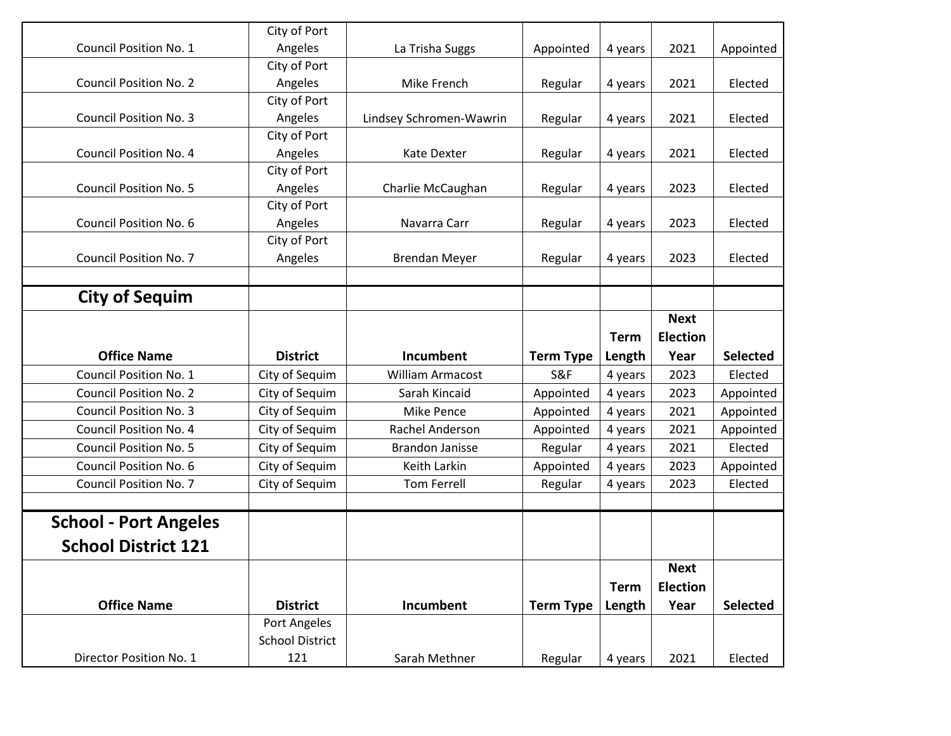| Director Position No. 1       | 121                             | Sarah Methner           | Regular          | 4 years     | 2021            | Elected         |
|-------------------------------|---------------------------------|-------------------------|------------------|-------------|-----------------|-----------------|
|                               | <b>School District</b>          |                         |                  |             |                 |                 |
| <b>Office Name</b>            | <b>District</b><br>Port Angeles | Incumbent               | <b>Term Type</b> | Length      | Year            | <b>Selected</b> |
|                               |                                 |                         |                  | <b>Term</b> | <b>Election</b> |                 |
|                               |                                 |                         |                  |             | <b>Next</b>     |                 |
| <b>School District 121</b>    |                                 |                         |                  |             |                 |                 |
| <b>School - Port Angeles</b>  |                                 |                         |                  |             |                 |                 |
|                               |                                 |                         |                  |             |                 |                 |
| <b>Council Position No. 7</b> | City of Sequim                  | <b>Tom Ferrell</b>      | Regular          | 4 years     | 2023            | Elected         |
| Council Position No. 6        | City of Sequim                  | Keith Larkin            | Appointed        | 4 years     | 2023            | Appointed       |
| <b>Council Position No. 5</b> | City of Sequim                  | <b>Brandon Janisse</b>  | Regular          | 4 years     | 2021            | Elected         |
| Council Position No. 4        | City of Sequim                  | Rachel Anderson         | Appointed        | 4 years     | 2021            | Appointed       |
| <b>Council Position No. 3</b> | City of Sequim                  | <b>Mike Pence</b>       | Appointed        | 4 years     | 2021            | Appointed       |
| <b>Council Position No. 2</b> | City of Sequim                  | Sarah Kincaid           | Appointed        | 4 years     | 2023            | Appointed       |
| Council Position No. 1        | City of Sequim                  | William Armacost        | S&F              | 4 years     | 2023            | Elected         |
| <b>Office Name</b>            | <b>District</b>                 | <b>Incumbent</b>        | <b>Term Type</b> | Length      | Year            | <b>Selected</b> |
|                               |                                 |                         |                  | <b>Term</b> | <b>Election</b> |                 |
|                               |                                 |                         |                  |             | <b>Next</b>     |                 |
| <b>City of Sequim</b>         |                                 |                         |                  |             |                 |                 |
|                               |                                 |                         |                  |             |                 |                 |
| <b>Council Position No. 7</b> | Angeles                         | <b>Brendan Meyer</b>    | Regular          | 4 years     | 2023            | Elected         |
| Council Position No. 6        | Angeles<br>City of Port         | Navarra Carr            | Regular          | 4 years     | 2023            | Elected         |
|                               | City of Port                    |                         |                  |             |                 |                 |
| <b>Council Position No. 5</b> | Angeles                         | Charlie McCaughan       | Regular          | 4 years     | 2023            | Elected         |
|                               | City of Port                    |                         |                  |             |                 |                 |
| <b>Council Position No. 4</b> | Angeles                         | Kate Dexter             | Regular          | 4 years     | 2021            | Elected         |
|                               | City of Port                    |                         |                  |             |                 |                 |
| <b>Council Position No. 3</b> | Angeles                         | Lindsey Schromen-Wawrin | Regular          | 4 years     | 2021            | Elected         |
|                               | City of Port                    |                         |                  |             |                 |                 |
| <b>Council Position No. 2</b> | Angeles                         | Mike French             | Regular          | 4 years     | 2021            | Elected         |
|                               | City of Port                    |                         |                  |             |                 |                 |
| <b>Council Position No. 1</b> | Angeles                         | La Trisha Suggs         | Appointed        | 4 years     | 2021            | Appointed       |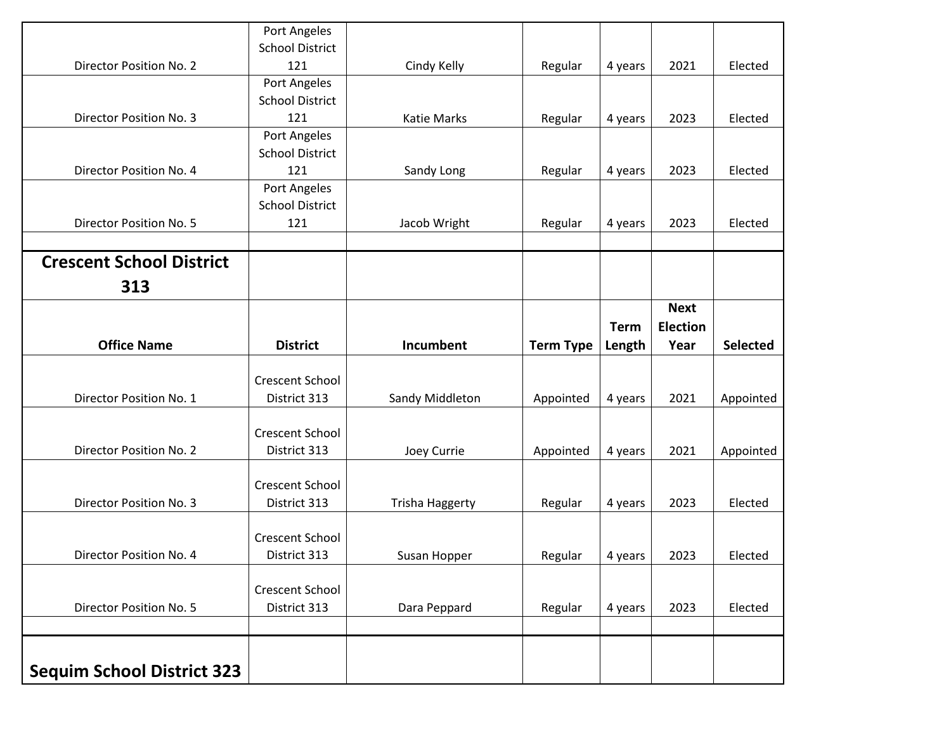| <b>Sequim School District 323</b> |                                                               |                        |                  |                       |                                        |                 |
|-----------------------------------|---------------------------------------------------------------|------------------------|------------------|-----------------------|----------------------------------------|-----------------|
| Director Position No. 5           | District 313                                                  | Dara Peppard           | Regular          | 4 years               | 2023                                   | Elected         |
|                                   | Crescent School                                               |                        |                  |                       |                                        |                 |
| Director Position No. 4           | <b>Crescent School</b><br>District 313                        | Susan Hopper           | Regular          | 4 years               | 2023                                   | Elected         |
| Director Position No. 3           | Crescent School<br>District 313                               | <b>Trisha Haggerty</b> | Regular          | 4 years               | 2023                                   | Elected         |
| Director Position No. 2           | Crescent School<br>District 313                               | Joey Currie            | Appointed        | 4 years               | 2021                                   | Appointed       |
| Director Position No. 1           | Crescent School<br>District 313                               | Sandy Middleton        | Appointed        | 4 years               | 2021                                   | Appointed       |
| <b>Office Name</b>                | <b>District</b>                                               | Incumbent              | <b>Term Type</b> | <b>Term</b><br>Length | <b>Next</b><br><b>Election</b><br>Year | <b>Selected</b> |
| 313                               |                                                               |                        |                  |                       |                                        |                 |
| <b>Crescent School District</b>   |                                                               |                        |                  |                       |                                        |                 |
| Director Position No. 5           | <b>School District</b><br>121                                 | Jacob Wright           | Regular          | 4 years               | 2023                                   | Elected         |
| Director Position No. 4           | <b>School District</b><br>121<br>Port Angeles                 | Sandy Long             | Regular          | 4 years               | 2023                                   | Elected         |
| <b>Director Position No. 3</b>    | <b>School District</b><br>121<br>Port Angeles                 | <b>Katie Marks</b>     | Regular          | 4 years               | 2023                                   | Elected         |
| Director Position No. 2           | Port Angeles<br><b>School District</b><br>121<br>Port Angeles | Cindy Kelly            | Regular          | 4 years               | 2021                                   | Elected         |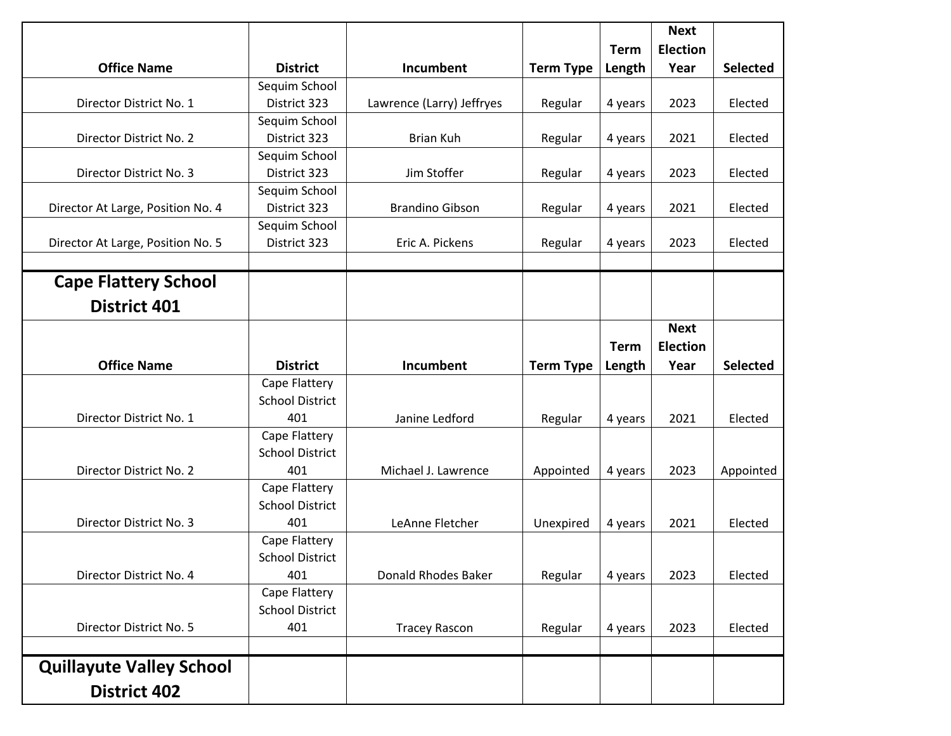|                                   |                        |                           |                  |             | <b>Next</b><br><b>Election</b> |                 |
|-----------------------------------|------------------------|---------------------------|------------------|-------------|--------------------------------|-----------------|
| <b>Office Name</b>                | <b>District</b>        | Incumbent                 |                  | <b>Term</b> | Year                           | <b>Selected</b> |
|                                   | Sequim School          |                           | <b>Term Type</b> | Length      |                                |                 |
| Director District No. 1           | District 323           | Lawrence (Larry) Jeffryes | Regular          | 4 years     | 2023                           | Elected         |
|                                   | Sequim School          |                           |                  |             |                                |                 |
| Director District No. 2           | District 323           | Brian Kuh                 | Regular          | 4 years     | 2021                           | Elected         |
|                                   | Sequim School          |                           |                  |             |                                |                 |
| Director District No. 3           | District 323           | Jim Stoffer               | Regular          | 4 years     | 2023                           | Elected         |
|                                   | Sequim School          |                           |                  |             |                                |                 |
| Director At Large, Position No. 4 | District 323           | <b>Brandino Gibson</b>    | Regular          | 4 years     | 2021                           | Elected         |
|                                   | Sequim School          |                           |                  |             |                                |                 |
| Director At Large, Position No. 5 | District 323           | Eric A. Pickens           | Regular          | 4 years     | 2023                           | Elected         |
|                                   |                        |                           |                  |             |                                |                 |
| <b>Cape Flattery School</b>       |                        |                           |                  |             |                                |                 |
| <b>District 401</b>               |                        |                           |                  |             |                                |                 |
|                                   |                        |                           |                  |             | <b>Next</b>                    |                 |
|                                   |                        |                           |                  | <b>Term</b> | <b>Election</b>                |                 |
| <b>Office Name</b>                | <b>District</b>        | <b>Incumbent</b>          | <b>Term Type</b> | Length      | Year                           | <b>Selected</b> |
|                                   | Cape Flattery          |                           |                  |             |                                |                 |
|                                   | <b>School District</b> |                           |                  |             |                                |                 |
| Director District No. 1           | 401                    | Janine Ledford            | Regular          | 4 years     | 2021                           | Elected         |
|                                   | Cape Flattery          |                           |                  |             |                                |                 |
|                                   | <b>School District</b> |                           |                  |             |                                |                 |
| Director District No. 2           | 401                    | Michael J. Lawrence       | Appointed        | 4 years     | 2023                           | Appointed       |
|                                   | Cape Flattery          |                           |                  |             |                                |                 |
|                                   | <b>School District</b> |                           |                  |             |                                |                 |
| Director District No. 3           | 401                    | LeAnne Fletcher           | Unexpired        | 4 years     | 2021                           | Elected         |
|                                   | Cape Flattery          |                           |                  |             |                                |                 |
|                                   | <b>School District</b> |                           |                  |             |                                |                 |
| Director District No. 4           | 401                    | Donald Rhodes Baker       | Regular          | 4 years     | 2023                           | Elected         |
|                                   | Cape Flattery          |                           |                  |             |                                |                 |
|                                   | <b>School District</b> |                           |                  |             |                                |                 |
| Director District No. 5           | 401                    | <b>Tracey Rascon</b>      | Regular          | 4 years     | 2023                           | Elected         |
|                                   |                        |                           |                  |             |                                |                 |
| <b>Quillayute Valley School</b>   |                        |                           |                  |             |                                |                 |
| <b>District 402</b>               |                        |                           |                  |             |                                |                 |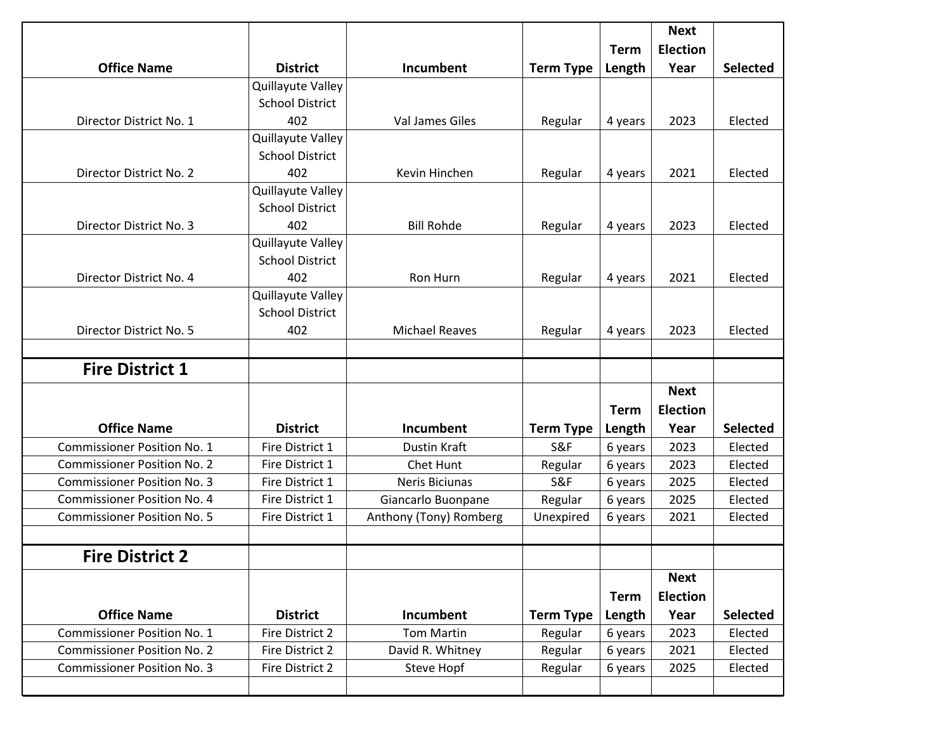| <b>Office Name</b>                 | <b>District</b>        | Incumbent              | <b>Term Type</b> | <b>Term</b><br>Length | <b>Next</b><br><b>Election</b><br>Year | <b>Selected</b> |
|------------------------------------|------------------------|------------------------|------------------|-----------------------|----------------------------------------|-----------------|
|                                    | Quillayute Valley      |                        |                  |                       |                                        |                 |
|                                    | <b>School District</b> |                        |                  |                       |                                        |                 |
| Director District No. 1            | 402                    | <b>Val James Giles</b> | Regular          | 4 years               | 2023                                   | Elected         |
|                                    | Quillayute Valley      |                        |                  |                       |                                        |                 |
|                                    | <b>School District</b> |                        |                  |                       |                                        |                 |
| Director District No. 2            | 402                    | Kevin Hinchen          | Regular          | 4 years               | 2021                                   | Elected         |
|                                    | Quillayute Valley      |                        |                  |                       |                                        |                 |
|                                    | <b>School District</b> |                        |                  |                       |                                        |                 |
| Director District No. 3            | 402                    | <b>Bill Rohde</b>      | Regular          | 4 years               | 2023                                   | Elected         |
|                                    | Quillayute Valley      |                        |                  |                       |                                        |                 |
|                                    | <b>School District</b> |                        |                  |                       |                                        |                 |
| Director District No. 4            | 402                    | Ron Hurn               | Regular          | 4 years               | 2021                                   | Elected         |
|                                    | Quillayute Valley      |                        |                  |                       |                                        |                 |
|                                    | <b>School District</b> |                        |                  |                       |                                        |                 |
| Director District No. 5            | 402                    | <b>Michael Reaves</b>  | Regular          | 4 years               | 2023                                   | Elected         |
|                                    |                        |                        |                  |                       |                                        |                 |
| <b>Fire District 1</b>             |                        |                        |                  |                       |                                        |                 |
|                                    |                        |                        |                  |                       | <b>Next</b>                            |                 |
|                                    |                        |                        |                  | <b>Term</b>           | <b>Election</b>                        |                 |
| <b>Office Name</b>                 | <b>District</b>        | Incumbent              | <b>Term Type</b> | Length                | Year                                   | <b>Selected</b> |
| <b>Commissioner Position No. 1</b> | Fire District 1        | <b>Dustin Kraft</b>    | S&F              | 6 years               | 2023                                   | Elected         |
| <b>Commissioner Position No. 2</b> | Fire District 1        | Chet Hunt              | Regular          | 6 years               | 2023                                   | Elected         |
| <b>Commissioner Position No. 3</b> | Fire District 1        | Neris Biciunas         | S&F              | 6 years               | 2025                                   | Elected         |
| <b>Commissioner Position No. 4</b> | Fire District 1        | Giancarlo Buonpane     | Regular          | 6 years               | 2025                                   | Elected         |
| <b>Commissioner Position No. 5</b> | Fire District 1        | Anthony (Tony) Romberg | Unexpired        | 6 years               | 2021                                   | Elected         |
| <b>Fire District 2</b>             |                        |                        |                  |                       |                                        |                 |
|                                    |                        |                        |                  |                       | <b>Next</b>                            |                 |
|                                    |                        |                        |                  | <b>Term</b>           | <b>Election</b>                        |                 |
| <b>Office Name</b>                 | <b>District</b>        | Incumbent              | <b>Term Type</b> | Length                | Year                                   | <b>Selected</b> |
|                                    | Fire District 2        | <b>Tom Martin</b>      | Regular          | 6 years               | 2023                                   | Elected         |
| <b>Commissioner Position No. 1</b> |                        |                        |                  |                       |                                        |                 |
| <b>Commissioner Position No. 2</b> | Fire District 2        | David R. Whitney       | Regular          | 6 years               | 2021                                   | Elected         |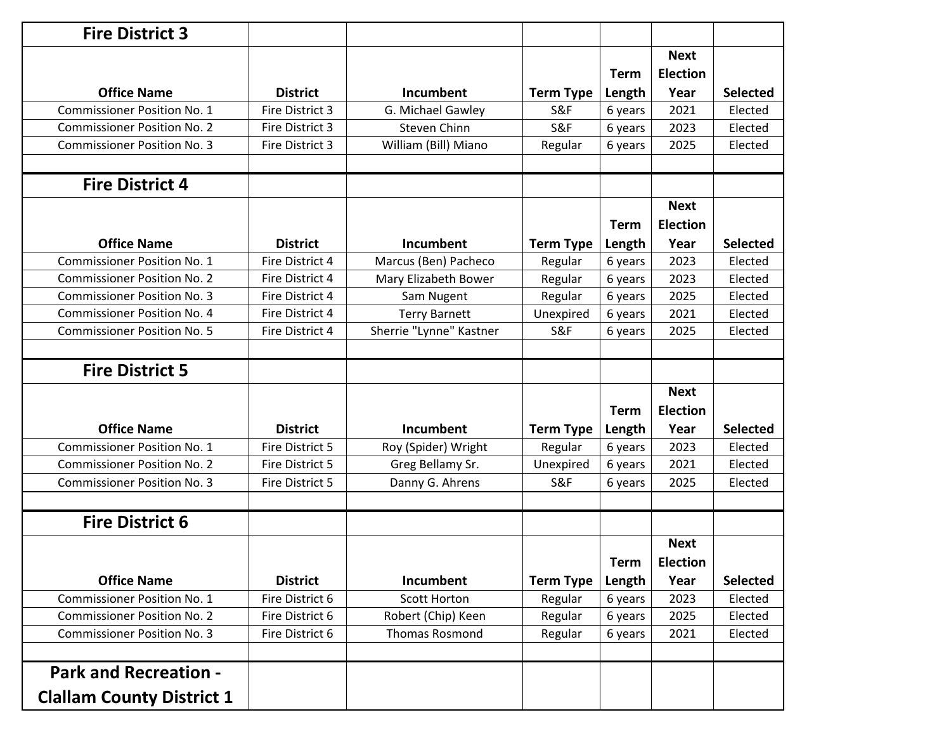| <b>Fire District 3</b>             |                 |                         |                  |             |                                |                 |
|------------------------------------|-----------------|-------------------------|------------------|-------------|--------------------------------|-----------------|
|                                    |                 |                         |                  | <b>Term</b> | <b>Next</b><br><b>Election</b> |                 |
| <b>Office Name</b>                 | <b>District</b> | <b>Incumbent</b>        | <b>Term Type</b> | Length      | Year                           | <b>Selected</b> |
| <b>Commissioner Position No. 1</b> | Fire District 3 | G. Michael Gawley       | S&F              | 6 years     | 2021                           | Elected         |
| <b>Commissioner Position No. 2</b> | Fire District 3 | Steven Chinn            | S&F              | 6 years     | 2023                           | Elected         |
| <b>Commissioner Position No. 3</b> | Fire District 3 | William (Bill) Miano    | Regular          | 6 years     | 2025                           | Elected         |
| <b>Fire District 4</b>             |                 |                         |                  |             |                                |                 |
|                                    |                 |                         |                  | <b>Term</b> | <b>Next</b><br><b>Election</b> |                 |
| <b>Office Name</b>                 | <b>District</b> | <b>Incumbent</b>        | <b>Term Type</b> | Length      | Year                           | <b>Selected</b> |
| <b>Commissioner Position No. 1</b> | Fire District 4 | Marcus (Ben) Pacheco    | Regular          | 6 years     | 2023                           | Elected         |
| <b>Commissioner Position No. 2</b> | Fire District 4 | Mary Elizabeth Bower    | Regular          | 6 years     | 2023                           | Elected         |
| <b>Commissioner Position No. 3</b> | Fire District 4 | Sam Nugent              | Regular          | 6 years     | 2025                           | Elected         |
| <b>Commissioner Position No. 4</b> | Fire District 4 | <b>Terry Barnett</b>    | Unexpired        | 6 years     | 2021                           | Elected         |
| <b>Commissioner Position No. 5</b> | Fire District 4 | Sherrie "Lynne" Kastner | S&F              | 6 years     | 2025                           | Elected         |
| <b>Fire District 5</b>             |                 |                         |                  |             |                                |                 |
|                                    |                 |                         |                  | <b>Term</b> | <b>Next</b><br><b>Election</b> |                 |
| <b>Office Name</b>                 | <b>District</b> | <b>Incumbent</b>        | <b>Term Type</b> | Length      | Year                           | <b>Selected</b> |
| <b>Commissioner Position No. 1</b> | Fire District 5 | Roy (Spider) Wright     | Regular          | 6 years     | 2023                           | Elected         |
| <b>Commissioner Position No. 2</b> | Fire District 5 | Greg Bellamy Sr.        | Unexpired        | 6 years     | 2021                           | Elected         |
| <b>Commissioner Position No. 3</b> | Fire District 5 | Danny G. Ahrens         | S&F              | 6 years     | 2025                           | Elected         |
| <b>Fire District 6</b>             |                 |                         |                  |             |                                |                 |
|                                    |                 |                         |                  | <b>Term</b> | <b>Next</b><br><b>Election</b> |                 |
| <b>Office Name</b>                 | <b>District</b> | Incumbent               | <b>Term Type</b> | Length      | Year                           | <b>Selected</b> |
| <b>Commissioner Position No. 1</b> | Fire District 6 | <b>Scott Horton</b>     | Regular          | 6 years     | 2023                           | Elected         |
| <b>Commissioner Position No. 2</b> | Fire District 6 | Robert (Chip) Keen      | Regular          | 6 years     | 2025                           | Elected         |
| <b>Commissioner Position No. 3</b> | Fire District 6 | <b>Thomas Rosmond</b>   | Regular          | 6 years     | 2021                           | Elected         |
| <b>Park and Recreation -</b>       |                 |                         |                  |             |                                |                 |
| <b>Clallam County District 1</b>   |                 |                         |                  |             |                                |                 |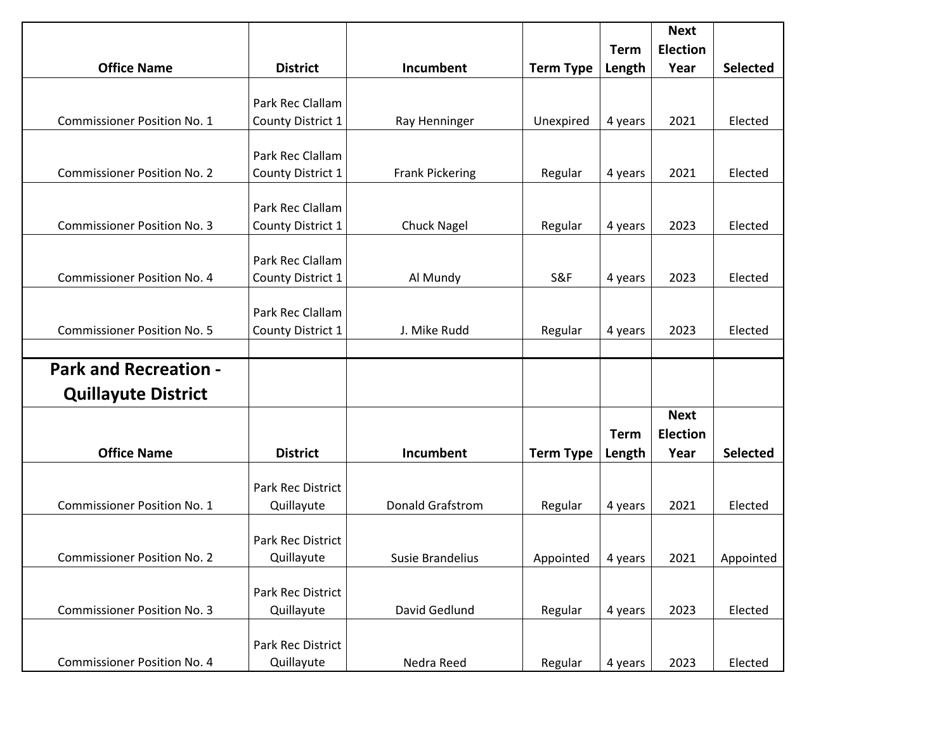| <b>Office Name</b>                 | <b>District</b>          | Incumbent               | <b>Term Type</b> | <b>Term</b><br>Length | <b>Next</b><br><b>Election</b><br>Year | <b>Selected</b> |
|------------------------------------|--------------------------|-------------------------|------------------|-----------------------|----------------------------------------|-----------------|
|                                    |                          |                         |                  |                       |                                        |                 |
|                                    | Park Rec Clallam         |                         |                  |                       |                                        |                 |
| <b>Commissioner Position No. 1</b> | County District 1        | Ray Henninger           | Unexpired        | 4 years               | 2021                                   | Elected         |
|                                    |                          |                         |                  |                       |                                        |                 |
|                                    | Park Rec Clallam         |                         |                  |                       |                                        |                 |
| <b>Commissioner Position No. 2</b> | County District 1        | <b>Frank Pickering</b>  | Regular          | 4 years               | 2021                                   | Elected         |
|                                    |                          |                         |                  |                       |                                        |                 |
|                                    | Park Rec Clallam         |                         |                  |                       |                                        |                 |
| <b>Commissioner Position No. 3</b> | County District 1        | <b>Chuck Nagel</b>      | Regular          | 4 years               | 2023                                   | Elected         |
|                                    |                          |                         |                  |                       |                                        |                 |
|                                    | Park Rec Clallam         |                         |                  |                       |                                        |                 |
| <b>Commissioner Position No. 4</b> | County District 1        | Al Mundy                | S&F              | 4 years               | 2023                                   | Elected         |
|                                    | Park Rec Clallam         |                         |                  |                       |                                        |                 |
| <b>Commissioner Position No. 5</b> | County District 1        | J. Mike Rudd            | Regular          | 4 years               | 2023                                   | Elected         |
|                                    |                          |                         |                  |                       |                                        |                 |
| <b>Park and Recreation -</b>       |                          |                         |                  |                       |                                        |                 |
| <b>Quillayute District</b>         |                          |                         |                  |                       |                                        |                 |
|                                    |                          |                         |                  |                       | <b>Next</b>                            |                 |
|                                    |                          |                         |                  | <b>Term</b>           | <b>Election</b>                        |                 |
| <b>Office Name</b>                 | <b>District</b>          | <b>Incumbent</b>        | <b>Term Type</b> | Length                | Year                                   | <b>Selected</b> |
|                                    |                          |                         |                  |                       |                                        |                 |
|                                    | <b>Park Rec District</b> |                         |                  |                       |                                        |                 |
| <b>Commissioner Position No. 1</b> | Quillayute               | <b>Donald Grafstrom</b> | Regular          | 4 years               | 2021                                   | Elected         |
|                                    |                          |                         |                  |                       |                                        |                 |
|                                    | Park Rec District        |                         |                  |                       |                                        |                 |
| <b>Commissioner Position No. 2</b> | Quillayute               | Susie Brandelius        | Appointed        | 4 years               | 2021                                   | Appointed       |
|                                    |                          |                         |                  |                       |                                        |                 |
|                                    | Park Rec District        |                         |                  |                       |                                        |                 |
| <b>Commissioner Position No. 3</b> | Quillayute               | David Gedlund           | Regular          | 4 years               | 2023                                   | Elected         |
|                                    | Park Rec District        |                         |                  |                       |                                        |                 |
| <b>Commissioner Position No. 4</b> | Quillayute               | Nedra Reed              | Regular          | 4 years               | 2023                                   | Elected         |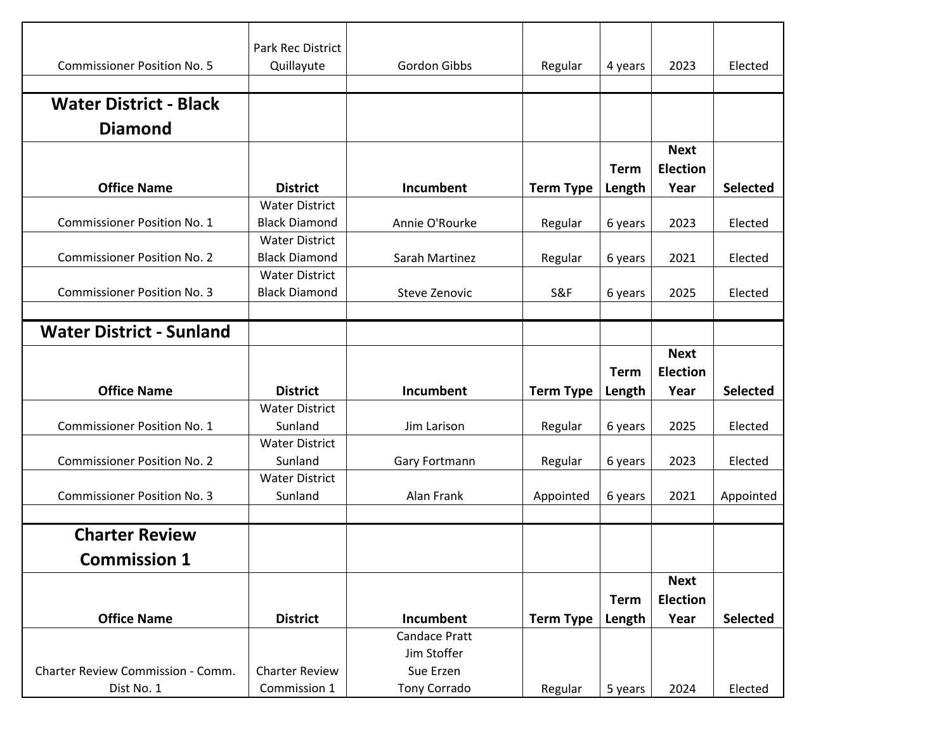|                                    | Park Rec District     |                      |                  |             |                 |                 |
|------------------------------------|-----------------------|----------------------|------------------|-------------|-----------------|-----------------|
| <b>Commissioner Position No. 5</b> | Quillayute            | Gordon Gibbs         | Regular          | 4 years     | 2023            | Elected         |
|                                    |                       |                      |                  |             |                 |                 |
| <b>Water District - Black</b>      |                       |                      |                  |             |                 |                 |
| <b>Diamond</b>                     |                       |                      |                  |             |                 |                 |
|                                    |                       |                      |                  |             | <b>Next</b>     |                 |
|                                    |                       |                      |                  | <b>Term</b> | <b>Election</b> |                 |
| <b>Office Name</b>                 | <b>District</b>       | Incumbent            | <b>Term Type</b> | Length      | Year            | <b>Selected</b> |
|                                    | <b>Water District</b> |                      |                  |             |                 |                 |
| <b>Commissioner Position No. 1</b> | <b>Black Diamond</b>  | Annie O'Rourke       | Regular          | 6 years     | 2023            | Elected         |
|                                    | <b>Water District</b> |                      |                  |             |                 |                 |
| <b>Commissioner Position No. 2</b> | <b>Black Diamond</b>  | Sarah Martinez       | Regular          | 6 years     | 2021            | Elected         |
|                                    | <b>Water District</b> |                      |                  |             |                 |                 |
| <b>Commissioner Position No. 3</b> | <b>Black Diamond</b>  | Steve Zenovic        | S&F              | 6 years     | 2025            | Elected         |
|                                    |                       |                      |                  |             |                 |                 |
| <b>Water District - Sunland</b>    |                       |                      |                  |             |                 |                 |
|                                    |                       |                      |                  |             | <b>Next</b>     |                 |
|                                    |                       |                      |                  | <b>Term</b> | <b>Election</b> |                 |
| <b>Office Name</b>                 | <b>District</b>       | Incumbent            | <b>Term Type</b> | Length      | Year            | <b>Selected</b> |
|                                    | <b>Water District</b> |                      |                  |             |                 |                 |
| <b>Commissioner Position No. 1</b> | Sunland               | Jim Larison          | Regular          | 6 years     | 2025            | Elected         |
|                                    | <b>Water District</b> |                      |                  |             |                 |                 |
| <b>Commissioner Position No. 2</b> | Sunland               | Gary Fortmann        | Regular          | 6 years     | 2023            | Elected         |
|                                    | <b>Water District</b> |                      |                  |             |                 |                 |
| <b>Commissioner Position No. 3</b> | Sunland               | Alan Frank           | Appointed        | 6 years     | 2021            | Appointed       |
|                                    |                       |                      |                  |             |                 |                 |
| <b>Charter Review</b>              |                       |                      |                  |             |                 |                 |
| <b>Commission 1</b>                |                       |                      |                  |             |                 |                 |
|                                    |                       |                      |                  |             | <b>Next</b>     |                 |
|                                    |                       |                      |                  | <b>Term</b> | <b>Election</b> |                 |
| <b>Office Name</b>                 | <b>District</b>       | Incumbent            | <b>Term Type</b> | Length      | Year            | <b>Selected</b> |
|                                    |                       | <b>Candace Pratt</b> |                  |             |                 |                 |
|                                    |                       | Jim Stoffer          |                  |             |                 |                 |
| Charter Review Commission - Comm.  | <b>Charter Review</b> | Sue Erzen            |                  |             |                 |                 |
| Dist No. 1                         | Commission 1          | Tony Corrado         | Regular          | 5 years     | 2024            | Elected         |